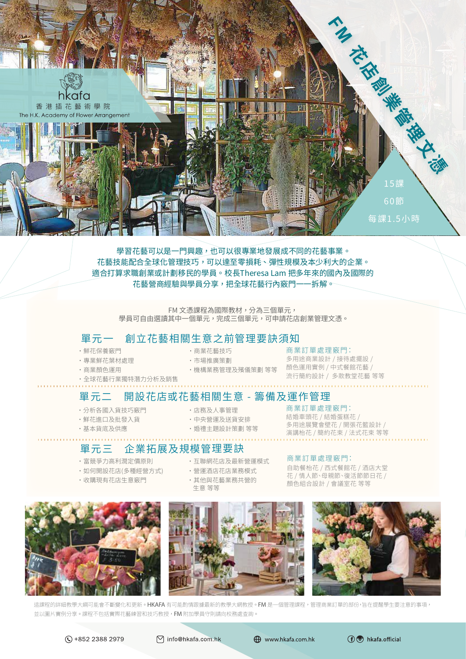

學習花藝可以是一門興趣 , 也可以很專業地發展成不同的花藝事業 。 花藝技能配合全球化管理技巧 , 可以達至零損耗 、 彈性規模及本少利大的企業 。 適合打算求職創業或計劃移民的學員 。 校長Theresa Lam 把多年來的國內及國際的 花藝營商經驗與學員分享 , 把全球花藝行內竅門一一拆解 。

FM 文憑課程為國際教材,分為三個單元, 學員可自由選讀其中一個單元 , 完成三個單元 , 可申請花店創業管理文憑 。

# 單元一 創立花藝相關生意之前管理要訣須知

- ˙鮮花保養竅門
- ˙專業鮮花葉材處理 ˙商業顏色運用
- ˙市場推廣策劃
- ˙機構業務管理及殯儀策劃 等等

### •商業花藝技巧 商業訂單處理竅門:

多用途商業設計 / 接待處擺設 / 顏色運用實例 / 中式餐館花藝 / 流行簡約設計 / 多款教堂花藝 等等

# 單元二 開設花店或花藝相關生意 - 籌備及運作管理

˙分析各國入貨技巧竅門

· 全球花藝行業獨特潛力分析及銷售

- ˙鮮花進口及批發入貨
- 
- ˙基本貨底及供應
- ˙店務及人事管理 商業訂單處理竅門: ˙中央營運及送貨安排
- 
- 

# 單元三 企業拓展及規模管理要訣

- ˙富競爭力高利潤定價原則
- ˙如何開設花店(多種經營方式)
- ˙收購現有花店生意竅門
- ・互聯網花店及最新營運模式 商業訂單處理竅門:
- ˙營運酒店花店業務模式
- ˙其他與花藝業務共營的 生意 等等

結婚車頭花 / 結婚蛋糕花 / 多用途展覽會壁花 / 開張花籃設計 / 演講枱花 / 簡約花束 / 法式花束 等等

自助餐枱花 / 西式餐館花 / 酒店大堂 花 / 情人節、母親節、復活節節日花 / 顏色組合設計 / 會議室花 等等



這課程的詳細教學大綱可能會不斷變化和更新。 H**KAFA** 有可能酌情跟據最新的教學大網教授。 **FM** 是一個管理課程,管理商業訂單的部份, 旨在提醒學生要注意的事項, 並以圖片實例分享 。 課程不包括實際花藝練習和技巧教授 , FM 附加學員守則請向校務處查詢 。

 $\overline{C}$  +852 2388 2979

○ info@hkafa.com.hk

**ED** www.hkafa.com.hk



˙婚禮主題設計策劃 等等